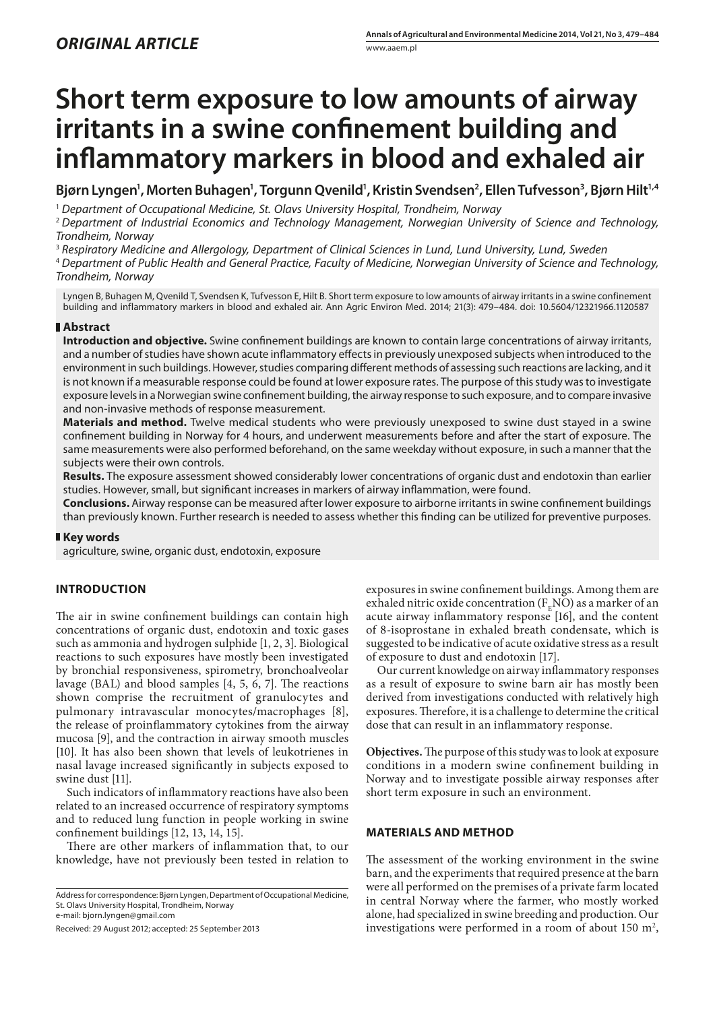# **Short term exposure to low amounts of airway irritants in a swine confinement building and inflammatory markers in blood and exhaled air**

Bjørn Lyngen<sup>1</sup>, Morten Buhagen<sup>1</sup>, Torgunn Qvenild<sup>1</sup>, Kristin Svendsen<sup>2</sup>, Ellen Tufvesson<sup>3</sup>, Bjørn Hilt<sup>1,4</sup>

<sup>1</sup> *Department of Occupational Medicine, St. Olavs University Hospital, Trondheim, Norway*

<sup>2</sup> *Department of Industrial Economics and Technology Management, Norwegian University of Science and Technology, Trondheim, Norway*

<sup>3</sup> *Respiratory Medicine and Allergology, Department of Clinical Sciences in Lund, Lund University, Lund, Sweden*

<sup>4</sup> *Department of Public Health and General Practice, Faculty of Medicine, Norwegian University of Science and Technology, Trondheim, Norway*

Lyngen B, Buhagen M, Qvenild T, Svendsen K, Tufvesson E, Hilt B. Short term exposure to low amounts of airway irritants in a swine confinement building and inflammatory markers in blood and exhaled air. Ann Agric Environ Med. 2014; 21(3): 479–484. doi: 10.5604/12321966.1120587

## **Abstract**

**Introduction and objective.** Swine confinement buildings are known to contain large concentrations of airway irritants, and a number of studies have shown acute inflammatory effects in previously unexposed subjects when introduced to the environment in such buildings. However, studies comparing different methods of assessing such reactions are lacking, and it is not known if a measurable response could be found at lower exposure rates. The purpose of this study was to investigate exposure levels in a Norwegian swine confinement building, the airway response to such exposure, and to compare invasive and non-invasive methods of response measurement.

**Materials and method.** Twelve medical students who were previously unexposed to swine dust stayed in a swine confinement building in Norway for 4 hours, and underwent measurements before and after the start of exposure. The same measurements were also performed beforehand, on the same weekday without exposure, in such a manner that the subjects were their own controls.

**Results.** The exposure assessment showed considerably lower concentrations of organic dust and endotoxin than earlier studies. However, small, but significant increases in markers of airway inflammation, were found.

**Conclusions.** Airway response can be measured after lower exposure to airborne irritants in swine confinement buildings than previously known. Further research is needed to assess whether this finding can be utilized for preventive purposes.

## **Key words**

agriculture, swine, organic dust, endotoxin, exposure

## **INTRODUCTION**

The air in swine confinement buildings can contain high concentrations of organic dust, endotoxin and toxic gases such as ammonia and hydrogen sulphide [1, 2, 3]. Biological reactions to such exposures have mostly been investigated by bronchial responsiveness, spirometry, bronchoalveolar lavage (BAL) and blood samples [4, 5, 6, 7]. The reactions shown comprise the recruitment of granulocytes and pulmonary intravascular monocytes/macrophages [8], the release of proinflammatory cytokines from the airway mucosa [9], and the contraction in airway smooth muscles [10]. It has also been shown that levels of leukotrienes in nasal lavage increased significantly in subjects exposed to swine dust [11].

Such indicators of inflammatory reactions have also been related to an increased occurrence of respiratory symptoms and to reduced lung function in people working in swine confinement buildings [12, 13, 14, 15].

There are other markers of inflammation that, to our knowledge, have not previously been tested in relation to exposures in swine confinement buildings. Among them are exhaled nitric oxide concentration  $(F<sub>F</sub>NO)$  as a marker of an acute airway inflammatory response [16], and the content of 8-isoprostane in exhaled breath condensate, which is suggested to be indicative of acute oxidative stress as a result of exposure to dust and endotoxin [17].

Our current knowledge on airway inflammatory responses as a result of exposure to swine barn air has mostly been derived from investigations conducted with relatively high exposures. Therefore, it is a challenge to determine the critical dose that can result in an inflammatory response.

**Objectives.** The purpose of this study was to look at exposure conditions in a modern swine confinement building in Norway and to investigate possible airway responses after short term exposure in such an environment.

## **MATERIALS AND METHOD**

The assessment of the working environment in the swine barn, and the experiments that required presence at the barn were all performed on the premises of a private farm located in central Norway where the farmer, who mostly worked alone, had specialized in swine breeding and production. Our investigations were performed in a room of about 150 m<sup>2</sup>,

Address for correspondence: Bjørn Lyngen, Department of Occupational Medicine, St. Olavs University Hospital, Trondheim, Norway e-mail: bjorn.lyngen@gmail.com

Received: 29 August 2012; accepted: 25 September 2013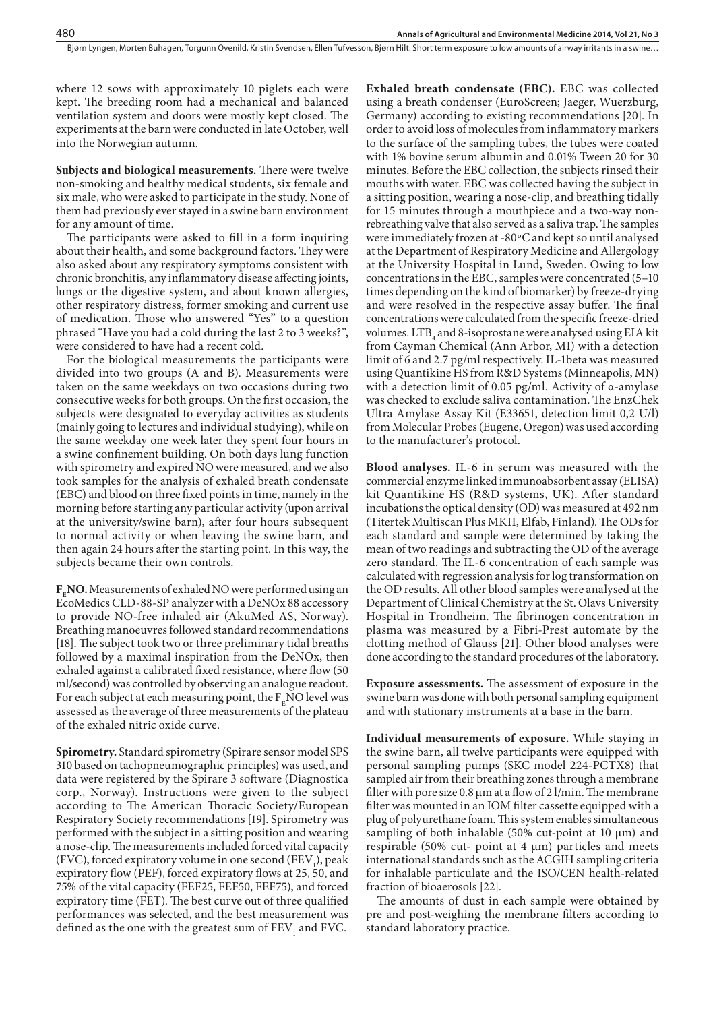Biørn Lyngen, Morten Buhagen, Torgunn Ovenild, Kristin Svendsen, Ellen Tufvesson, Biørn Hilt, Short term exposure to low amounts of airway irritants in a swine...

where 12 sows with approximately 10 piglets each were kept. The breeding room had a mechanical and balanced ventilation system and doors were mostly kept closed. The experiments at the barn were conducted in late October, well into the Norwegian autumn.

**Subjects and biological measurements.** There were twelve non-smoking and healthy medical students, six female and six male, who were asked to participate in the study. None of them had previously ever stayed in a swine barn environment for any amount of time.

The participants were asked to fill in a form inquiring about their health, and some background factors. They were also asked about any respiratory symptoms consistent with chronic bronchitis, any inflammatory disease affecting joints, lungs or the digestive system, and about known allergies, other respiratory distress, former smoking and current use of medication. Those who answered "Yes" to a question phrased "Have you had a cold during the last 2 to 3 weeks?", were considered to have had a recent cold.

For the biological measurements the participants were divided into two groups (A and B). Measurements were taken on the same weekdays on two occasions during two consecutive weeks for both groups. On the first occasion, the subjects were designated to everyday activities as students (mainly going to lectures and individual studying), while on the same weekday one week later they spent four hours in a swine confinement building. On both days lung function with spirometry and expired NO were measured, and we also took samples for the analysis of exhaled breath condensate (EBC) and blood on three fixed points in time, namely in the morning before starting any particular activity (upon arrival at the university/swine barn), after four hours subsequent to normal activity or when leaving the swine barn, and then again 24 hours after the starting point. In this way, the subjects became their own controls.

**FENO.** Measurements of exhaled NO were performed using an EcoMedics CLD-88-SP analyzer with a DeNOx 88 accessory to provide NO-free inhaled air (AkuMed AS, Norway). Breathing manoeuvres followed standard recommendations [18]. The subject took two or three preliminary tidal breaths followed by a maximal inspiration from the DeNOx, then exhaled against a calibrated fixed resistance, where flow (50 ml/second) was controlled by observing an analogue readout. For each subject at each measuring point, the  $F_{E}NO$  level was assessed as the average of three measurements of the plateau of the exhaled nitric oxide curve.

**Spirometry.** Standard spirometry (Spirare sensor model SPS 310 based on tachopneumographic principles) was used, and data were registered by the Spirare 3 software (Diagnostica corp., Norway). Instructions were given to the subject according to The American Thoracic Society/European Respiratory Society recommendations [19]. Spirometry was performed with the subject in a sitting position and wearing a nose-clip. The measurements included forced vital capacity (FVC), forced expiratory volume in one second (FEV<sub>1</sub>), peak expiratory flow (PEF), forced expiratory flows at 25, 50, and 75% of the vital capacity (FEF25, FEF50, FEF75), and forced expiratory time (FET). The best curve out of three qualified performances was selected, and the best measurement was defined as the one with the greatest sum of  $\mathrm{FEV}_1$  and FVC.

**Exhaled breath condensate (EBC).** EBC was collected using a breath condenser (EuroScreen; Jaeger, Wuerzburg, Germany) according to existing recommendations [20]. In order to avoid loss of molecules from inflammatory markers to the surface of the sampling tubes, the tubes were coated with 1% bovine serum albumin and 0.01% Tween 20 for 30 minutes. Before the EBC collection, the subjects rinsed their mouths with water. EBC was collected having the subject in a sitting position, wearing a nose-clip, and breathing tidally for 15 minutes through a mouthpiece and a two-way nonrebreathing valve that also served as a saliva trap. The samples were immediately frozen at -80ºC and kept so until analysed at the Department of Respiratory Medicine and Allergology at the University Hospital in Lund, Sweden. Owing to low concentrations in the EBC, samples were concentrated (5–10 times depending on the kind of biomarker) by freeze-drying and were resolved in the respective assay buffer. The final concentrations were calculated from the specific freeze-dried volumes.  $LTB_4$  and 8-isoprostane were analysed using EIA kit from Cayman Chemical (Ann Arbor, MI) with a detection limit of 6 and 2.7 pg/ml respectively. IL-1beta was measured using Quantikine HS from R&D Systems (Minneapolis, MN) with a detection limit of 0.05 pg/ml. Activity of α-amylase was checked to exclude saliva contamination. The EnzChek Ultra Amylase Assay Kit (E33651, detection limit 0,2 U/l) from Molecular Probes (Eugene, Oregon) was used according to the manufacturer's protocol.

**Blood analyses.** IL-6 in serum was measured with the commercial enzyme linked immunoabsorbent assay (ELISA) kit Quantikine HS (R&D systems, UK). After standard incubations the optical density (OD) was measured at 492 nm (Titertek Multiscan Plus MKII, Elfab, Finland). The ODs for each standard and sample were determined by taking the mean of two readings and subtracting the OD of the average zero standard. The IL-6 concentration of each sample was calculated with regression analysis for log transformation on the OD results. All other blood samples were analysed at the Department of Clinical Chemistry at the St. Olavs University Hospital in Trondheim. The fibrinogen concentration in plasma was measured by a Fibri-Prest automate by the clotting method of Glauss [21]. Other blood analyses were done according to the standard procedures of the laboratory.

**Exposure assessments.** The assessment of exposure in the swine barn was done with both personal sampling equipment and with stationary instruments at a base in the barn.

**Individual measurements of exposure.** While staying in the swine barn, all twelve participants were equipped with personal sampling pumps (SKC model 224-PCTX8) that sampled air from their breathing zones through a membrane filter with pore size 0.8 µm at a flow of 2 l/min. The membrane filter was mounted in an IOM filter cassette equipped with a plug of polyurethane foam. This system enables simultaneous sampling of both inhalable (50% cut-point at 10 µm) and respirable (50% cut- point at 4  $\mu$ m) particles and meets international standards such as the ACGIH sampling criteria for inhalable particulate and the ISO/CEN health-related fraction of bioaerosols [22].

The amounts of dust in each sample were obtained by pre and post-weighing the membrane filters according to standard laboratory practice.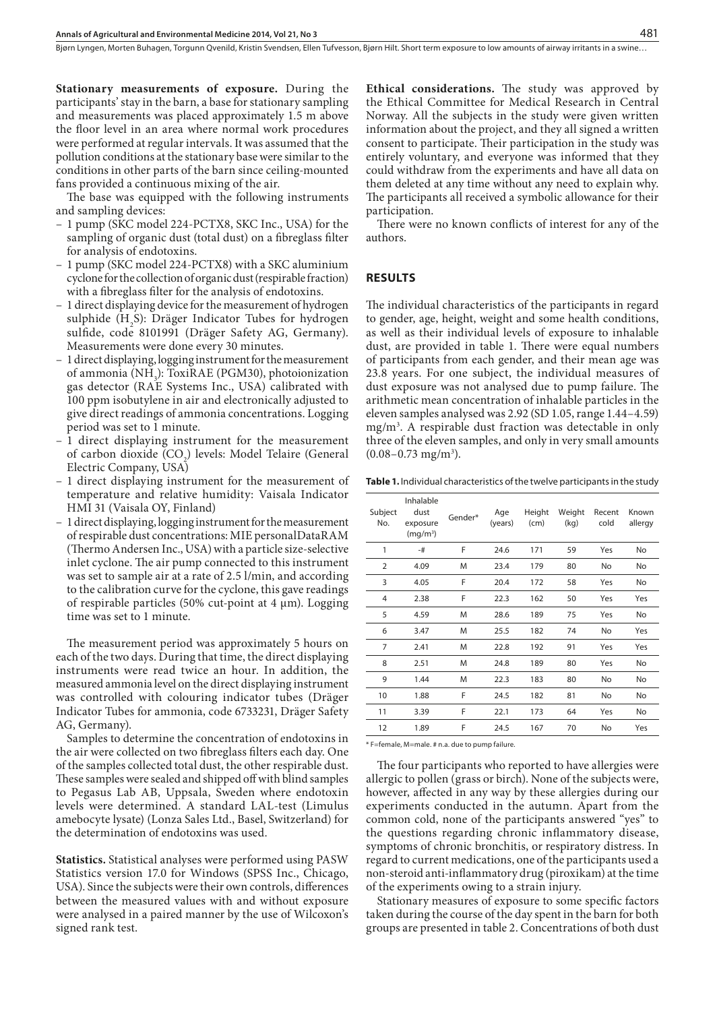**Stationary measurements of exposure.** During the participants' stay in the barn, a base for stationary sampling and measurements was placed approximately 1.5 m above the floor level in an area where normal work procedures were performed at regular intervals. It was assumed that the pollution conditions at the stationary base were similar to the conditions in other parts of the barn since ceiling-mounted fans provided a continuous mixing of the air.

The base was equipped with the following instruments and sampling devices:

- 1 pump (SKC model 224-PCTX8, SKC Inc., USA) for the sampling of organic dust (total dust) on a fibreglass filter for analysis of endotoxins.
- 1 pump (SKC model 224-PCTX8) with a SKC aluminium cyclone for the collection of organic dust (respirable fraction) with a fibreglass filter for the analysis of endotoxins.
- 1 direct displaying device for the measurement of hydrogen sulphide  $(H_2S)$ : Dräger Indicator Tubes for hydrogen sulfide, code 8101991 (Dräger Safety AG, Germany). Measurements were done every 30 minutes.
- 1 direct displaying, logging instrument for the measurement of ammonia (NH3 ): ToxiRAE (PGM30), photoionization gas detector (RAE Systems Inc., USA) calibrated with 100 ppm isobutylene in air and electronically adjusted to give direct readings of ammonia concentrations. Logging period was set to 1 minute.
- 1 direct displaying instrument for the measurement of carbon dioxide (CO<sub>2</sub>) levels: Model Telaire (General Electric Company, USA)
- 1 direct displaying instrument for the measurement of temperature and relative humidity: Vaisala Indicator HMI 31 (Vaisala OY, Finland)
- 1 direct displaying, logging instrument for the measurement of respirable dust concentrations: MIE personalDataRAM (Thermo Andersen Inc., USA) with a particle size-selective inlet cyclone. The air pump connected to this instrument was set to sample air at a rate of 2.5 l/min, and according to the calibration curve for the cyclone, this gave readings of respirable particles (50% cut-point at 4  $\mu$ m). Logging time was set to 1 minute.

The measurement period was approximately 5 hours on each of the two days. During that time, the direct displaying instruments were read twice an hour. In addition, the measured ammonia level on the direct displaying instrument was controlled with colouring indicator tubes (Dräger Indicator Tubes for ammonia, code 6733231, Dräger Safety AG, Germany).

Samples to determine the concentration of endotoxins in the air were collected on two fibreglass filters each day. One of the samples collected total dust, the other respirable dust. These samples were sealed and shipped off with blind samples to Pegasus Lab AB, Uppsala, Sweden where endotoxin levels were determined. A standard LAL-test (Limulus amebocyte lysate) (Lonza Sales Ltd., Basel, Switzerland) for the determination of endotoxins was used.

**Statistics.** Statistical analyses were performed using PASW Statistics version 17.0 for Windows (SPSS Inc., Chicago, USA). Since the subjects were their own controls, differences between the measured values with and without exposure were analysed in a paired manner by the use of Wilcoxon's signed rank test.

**Ethical considerations.** The study was approved by the Ethical Committee for Medical Research in Central Norway. All the subjects in the study were given written information about the project, and they all signed a written consent to participate. Their participation in the study was entirely voluntary, and everyone was informed that they could withdraw from the experiments and have all data on them deleted at any time without any need to explain why. The participants all received a symbolic allowance for their participation.

There were no known conflicts of interest for any of the authors.

#### **RESULTS**

The individual characteristics of the participants in regard to gender, age, height, weight and some health conditions, as well as their individual levels of exposure to inhalable dust, are provided in table 1. There were equal numbers of participants from each gender, and their mean age was 23.8 years. For one subject, the individual measures of dust exposure was not analysed due to pump failure. The arithmetic mean concentration of inhalable particles in the eleven samples analysed was 2.92 (SD 1.05, range 1.44–4.59) mg/m3 . A respirable dust fraction was detectable in only three of the eleven samples, and only in very small amounts  $(0.08 - 0.73 \text{ mg/m}^3)$ .

**Table 1.** Individual characteristics of the twelve participants in the study

| Subject<br>No. | Inhalable<br>dust<br>exposure<br>$(mq/m^3)$ | Gender* | Age<br>(years) | Height<br>(cm) | Weight<br>(kq) | Recent<br>cold | Known<br>allergy |
|----------------|---------------------------------------------|---------|----------------|----------------|----------------|----------------|------------------|
| 1              | $-#$                                        | F       | 24.6           | 171            | 59             | Yes            | <b>No</b>        |
| $\overline{2}$ | 4.09                                        | M       | 23.4           | 179            | 80             | No             | <b>No</b>        |
| 3              | 4.05                                        | F       | 20.4           | 172            | 58             | Yes            | <b>No</b>        |
| 4              | 2.38                                        | F       | 22.3           | 162            | 50             | Yes            | Yes              |
| 5              | 4.59                                        | M       | 28.6           | 189            | 75             | Yes            | <b>No</b>        |
| 6              | 3.47                                        | M       | 25.5           | 182            | 74             | No             | Yes              |
| 7              | 2.41                                        | M       | 22.8           | 192            | 91             | Yes            | Yes              |
| 8              | 2.51                                        | M       | 24.8           | 189            | 80             | Yes            | No               |
| 9              | 1.44                                        | M       | 22.3           | 183            | 80             | No             | No               |
| 10             | 1.88                                        | F       | 24.5           | 182            | 81             | No             | No               |
| 11             | 3.39                                        | F       | 22.1           | 173            | 64             | Yes            | No               |
| 12             | 1.89                                        | F       | 24.5           | 167            | 70             | No             | Yes              |

\* F=female, M=male. # n.a. due to pump failure.

The four participants who reported to have allergies were allergic to pollen (grass or birch). None of the subjects were, however, affected in any way by these allergies during our experiments conducted in the autumn. Apart from the common cold, none of the participants answered "yes" to the questions regarding chronic inflammatory disease, symptoms of chronic bronchitis, or respiratory distress. In regard to current medications, one of the participants used a non-steroid anti-inflammatory drug (piroxikam) at the time of the experiments owing to a strain injury.

Stationary measures of exposure to some specific factors taken during the course of the day spent in the barn for both groups are presented in table 2. Concentrations of both dust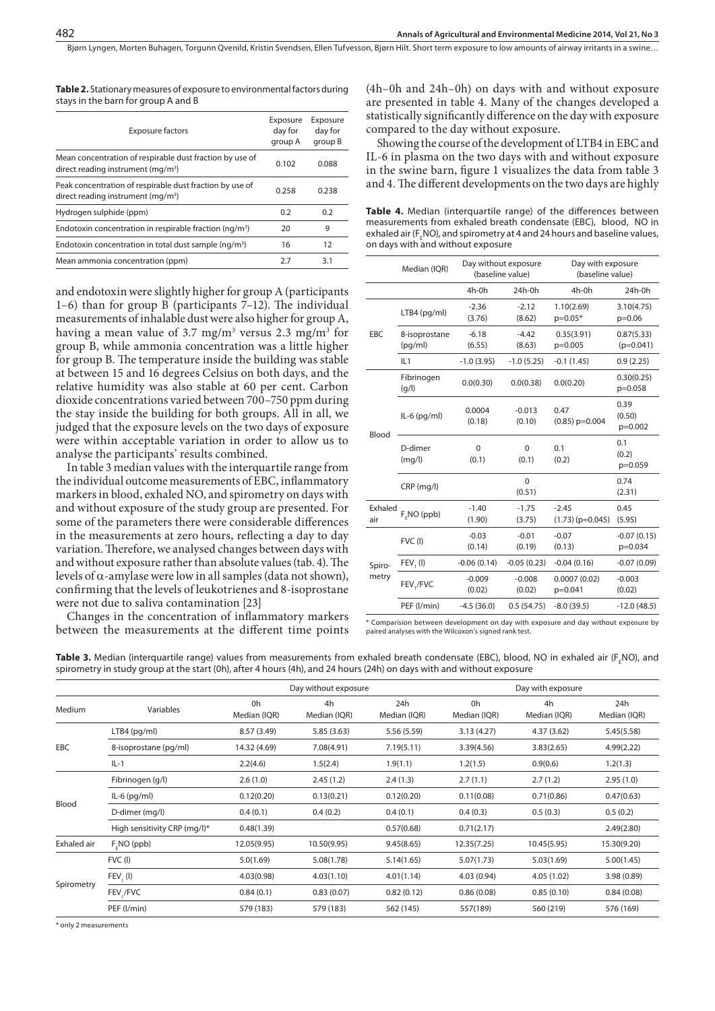**Table 2.** Stationary measures of exposure to environmental factors during stays in the barn for group A and B

| <b>Exposure factors</b>                                                                                    | Exposure<br>day for<br>group A | Exposure<br>day for<br>group B |
|------------------------------------------------------------------------------------------------------------|--------------------------------|--------------------------------|
| Mean concentration of respirable dust fraction by use of<br>direct reading instrument (mg/m <sup>3</sup> ) | 0.102                          | 0.088                          |
| Peak concentration of respirable dust fraction by use of<br>direct reading instrument (mg/m <sup>3</sup> ) | 0.258                          | 0.238                          |
| Hydrogen sulphide (ppm)                                                                                    | 0.2                            | 0.2                            |
| Endotoxin concentration in respirable fraction (ng/m <sup>3</sup> )                                        | 20                             | 9                              |
| Endotoxin concentration in total dust sample (ng/m <sup>3</sup> )                                          | 16                             | 12                             |
| Mean ammonia concentration (ppm)                                                                           | 2.7                            | 3.1                            |
|                                                                                                            |                                |                                |

and endotoxin were slightly higher for group A (participants 1–6) than for group B (participants 7–12). The individual measurements of inhalable dust were also higher for group A, having a mean value of 3.7 mg/m<sup>3</sup> versus 2.3 mg/m<sup>3</sup> for group B, while ammonia concentration was a little higher for group B. The temperature inside the building was stable at between 15 and 16 degrees Celsius on both days, and the relative humidity was also stable at 60 per cent. Carbon dioxide concentrations varied between 700–750 ppm during the stay inside the building for both groups. All in all, we judged that the exposure levels on the two days of exposure were within acceptable variation in order to allow us to analyse the participants' results combined.

In table 3 median values with the interquartile range from the individual outcome measurements of EBC, inflammatory markers in blood, exhaled NO, and spirometry on days with and without exposure of the study group are presented. For some of the parameters there were considerable differences in the measurements at zero hours, reflecting a day to day variation. Therefore, we analysed changes between days with and without exposure rather than absolute values (tab. 4). The levels of  $\alpha$ -amylase were low in all samples (data not shown), confirming that the levels of leukotrienes and 8-isoprostane were not due to saliva contamination [23]

Changes in the concentration of inflammatory markers between the measurements at the different time points (4h–0h and 24h–0h) on days with and without exposure are presented in table 4. Many of the changes developed a statistically significantly difference on the day with exposure compared to the day without exposure.

Showing the course of the development of LTB4 in EBC and IL-6 in plasma on the two days with and without exposure in the swine barn, figure 1 visualizes the data from table 3 and 4. The different developments on the two days are highly

**Table 4.** Median (interquartile range) of the differences between measurements from exhaled breath condensate (EBC), blood, NO in exhaled air (F<sub>E</sub>NO), and spirometry at 4 and 24 hours and baseline values, on days with and without exposure

|                 | Median (IQR)             |                    | Day without exposure<br>(baseline value) | Day with exposure<br>(baseline value) |                           |  |
|-----------------|--------------------------|--------------------|------------------------------------------|---------------------------------------|---------------------------|--|
|                 |                          | $4h-0h$            | 24h-0h                                   | $4h-0h$                               | 24h-0h                    |  |
| EBC             | LTB4 (pg/ml)             | $-2.36$<br>(3.76)  | $-2.12$<br>(8.62)                        | 1.10(2.69)<br>$p=0.05*$               | 3.10(4.75)<br>$p=0.06$    |  |
|                 | 8-isoprostane<br>(pq/ml) | $-6.18$<br>(6.55)  | $-4.42$<br>(8.63)                        | 0.35(3.91)<br>$p=0.005$               | 0.87(5.33)<br>$(p=0.041)$ |  |
|                 | IL1                      | $-1.0(3.95)$       | $-1.0(5.25)$                             | $-0.1(1.45)$                          | 0.9(2.25)                 |  |
| Blood           | Fibrinogen<br>(g/l)      | 0.0(0.30)          | 0.0(0.38)                                | 0.0(0.20)                             | 0.30(0.25)<br>$p=0.058$   |  |
|                 | $IL-6$ (pg/ml)           | 0.0004<br>(0.18)   | $-0.013$<br>(0.10)                       | 0.47<br>$(0.85)$ p=0.004              | 0.39<br>(0.50)<br>p=0.002 |  |
|                 | D-dimer<br>(mq/l)        | $\Omega$<br>(0.1)  | $\Omega$<br>(0.1)                        | 0.1<br>(0.2)                          | 0.1<br>(0.2)<br>p=0.059   |  |
|                 | $CRP$ (mg/l)             |                    | $\Omega$<br>(0.51)                       |                                       | 0.74<br>(2.31)            |  |
| Exhaled<br>air  | F <sub>c</sub> NO (ppb)  | $-1.40$<br>(1.90)  | $-1.75$<br>(3.75)                        | $-2.45$<br>$(1.73)(p=0.045)$          | 0.45<br>(5.95)            |  |
| Spiro-<br>metry | FVC(I)                   | $-0.03$<br>(0.14)  | $-0.01$<br>(0.19)                        | $-0.07$<br>(0.13)                     | $-0.07(0.15)$<br>p=0.034  |  |
|                 | $FEV1$ (I)               | $-0.06(0.14)$      | $-0.05(0.23)$                            | $-0.04(0.16)$                         | $-0.07(0.09)$             |  |
|                 | FEV,/FVC                 | $-0.009$<br>(0.02) | $-0.008$<br>(0.02)                       | 0.0007(0.02)<br>$p=0.041$             | $-0.003$<br>(0.02)        |  |
|                 | PEF (I/min)              | $-4.5(36.0)$       | 0.5(54.75)                               | $-8.0(39.5)$                          | $-12.0(48.5)$             |  |

\* Comparision between development on day with exposure and day without exposure by paired analyses with the Wilcoxon's signed rank test.

**Table 3.** Median (interquartile range) values from measurements from exhaled breath condensate (EBC), blood, NO in exhaled air (F<sub>E</sub>NO), and spirometry in study group at the start (0h), after 4 hours (4h), and 24 hours (24h) on days with and without exposure

|             |                              | Day without exposure |                    |                     | Day with exposure  |                    |                     |
|-------------|------------------------------|----------------------|--------------------|---------------------|--------------------|--------------------|---------------------|
| Medium      | Variables                    | 0h<br>Median (IQR)   | 4h<br>Median (IQR) | 24h<br>Median (IQR) | 0h<br>Median (IQR) | 4h<br>Median (IQR) | 24h<br>Median (IQR) |
| <b>EBC</b>  | $LTB4$ (pg/ml)               | 8.57 (3.49)          | 5.85(3.63)         | 5.56 (5.59)         | 3.13(4.27)         | 4.37(3.62)         | 5.45(5.58)          |
|             | 8-isoprostane (pg/ml)        | 14.32 (4.69)         | 7.08(4.91)         | 7.19(5.11)          | 3.39(4.56)         | 3.83(2.65)         | 4.99(2.22)          |
|             | $IL-1$                       | 2.2(4.6)             | 1.5(2.4)           | 1.9(1.1)            | 1.2(1.5)           | 0.9(0.6)           | 1.2(1.3)            |
| Blood       | Fibrinogen (g/l)             | 2.6(1.0)             | 2.45(1.2)          | 2.4(1.3)            | 2.7(1.1)           | 2.7(1.2)           | 2.95(1.0)           |
|             | $IL-6$ (pg/ml)               | 0.12(0.20)           | 0.13(0.21)         | 0.12(0.20)          | 0.11(0.08)         | 0.71(0.86)         | 0.47(0.63)          |
|             | D-dimer (mg/l)               | 0.4(0.1)             | 0.4(0.2)           | 0.4(0.1)            | 0.4(0.3)           | 0.5(0.3)           | 0.5(0.2)            |
|             | High sensitivity CRP (mg/l)* | 0.48(1.39)           |                    | 0.57(0.68)          | 0.71(2.17)         |                    | 2.49(2.80)          |
| Exhaled air | $FcNO$ (ppb)                 | 12.05(9.95)          | 10.50(9.95)        | 9.45(8.65)          | 12.35(7.25)        | 10.45(5.95)        | 15.30(9.20)         |
| Spirometry  | $FVC$ (l)                    | 5.0(1.69)            | 5.08(1.78)         | 5.14(1.65)          | 5.07(1.73)         | 5.03(1.69)         | 5.00(1.45)          |
|             | FEV, (I)                     | 4.03(0.98)           | 4.03(1.10)         | 4.01(1.14)          | 4.03(0.94)         | 4.05(1.02)         | 3.98(0.89)          |
|             | FEV,/FVC                     | 0.84(0.1)            | 0.83(0.07)         | 0.82(0.12)          | 0.86(0.08)         | 0.85(0.10)         | 0.84(0.08)          |
|             | PEF (I/min)                  | 579 (183)            | 579 (183)          | 562 (145)           | 557(189)           | 560 (219)          | 576 (169)           |

\* only 2 measurements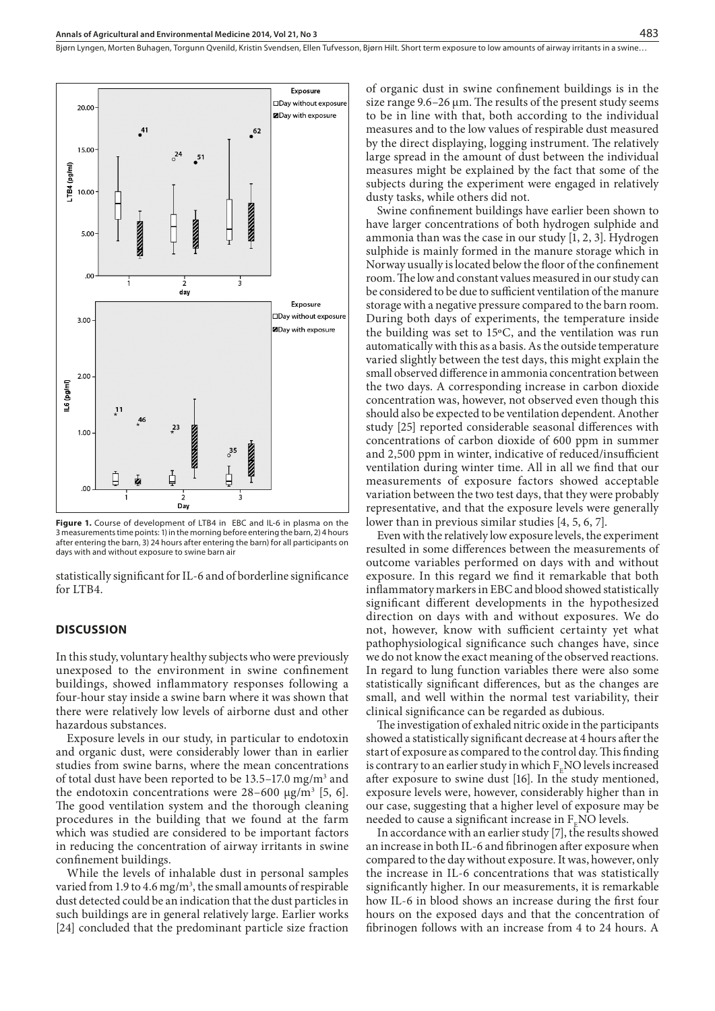Biørn Lyngen, Morten Buhagen, Torgunn Ovenild, Kristin Svendsen, Ellen Tufvesson, Biørn Hilt. Short term exposure to low amounts of airway irritants in a swine...



Figure 1. Course of development of LTB4 in EBC and IL-6 in plasma on the 3 measurements time points: 1) in the morning before entering the barn, 2) 4 hours after entering the barn, 3) 24 hours after entering the barn) for all participants on days with and without exposure to swine barn air

statistically significant for IL-6 and of borderline significance for LTB4.

#### **DISCUSSION**

In this study, voluntary healthy subjects who were previously unexposed to the environment in swine confinement buildings, showed inflammatory responses following a four-hour stay inside a swine barn where it was shown that there were relatively low levels of airborne dust and other hazardous substances.

Exposure levels in our study, in particular to endotoxin and organic dust, were considerably lower than in earlier studies from swine barns, where the mean concentrations of total dust have been reported to be 13.5–17.0 mg/m<sup>3</sup> and the endotoxin concentrations were  $28-600 \text{ µg/m}^3$  [5, 6]. The good ventilation system and the thorough cleaning procedures in the building that we found at the farm which was studied are considered to be important factors in reducing the concentration of airway irritants in swine confinement buildings.

While the levels of inhalable dust in personal samples varied from 1.9 to 4.6 mg/m<sup>3</sup>, the small amounts of respirable dust detected could be an indication that the dust particles in such buildings are in general relatively large. Earlier works [24] concluded that the predominant particle size fraction

of organic dust in swine confinement buildings is in the size range 9.6–26 μm. The results of the present study seems to be in line with that, both according to the individual measures and to the low values of respirable dust measured by the direct displaying, logging instrument. The relatively large spread in the amount of dust between the individual measures might be explained by the fact that some of the subjects during the experiment were engaged in relatively dusty tasks, while others did not.

Swine confinement buildings have earlier been shown to have larger concentrations of both hydrogen sulphide and ammonia than was the case in our study [1, 2, 3]. Hydrogen sulphide is mainly formed in the manure storage which in Norway usually is located below the floor of the confinement room. The low and constant values measured in our study can be considered to be due to sufficient ventilation of the manure storage with a negative pressure compared to the barn room. During both days of experiments, the temperature inside the building was set to 15ºC, and the ventilation was run automatically with this as a basis. As the outside temperature varied slightly between the test days, this might explain the small observed difference in ammonia concentration between the two days. A corresponding increase in carbon dioxide concentration was, however, not observed even though this should also be expected to be ventilation dependent. Another study [25] reported considerable seasonal differences with concentrations of carbon dioxide of 600 ppm in summer and 2,500 ppm in winter, indicative of reduced/insufficient ventilation during winter time. All in all we find that our measurements of exposure factors showed acceptable variation between the two test days, that they were probably representative, and that the exposure levels were generally lower than in previous similar studies [4, 5, 6, 7].

Even with the relatively low exposure levels, the experiment resulted in some differences between the measurements of outcome variables performed on days with and without exposure. In this regard we find it remarkable that both inflammatory markers in EBC and blood showed statistically significant different developments in the hypothesized direction on days with and without exposures. We do not, however, know with sufficient certainty yet what pathophysiological significance such changes have, since we do not know the exact meaning of the observed reactions. In regard to lung function variables there were also some statistically significant differences, but as the changes are small, and well within the normal test variability, their clinical significance can be regarded as dubious.

The investigation of exhaled nitric oxide in the participants showed a statistically significant decrease at 4 hours after the start of exposure as compared to the control day. This finding is contrary to an earlier study in which  $F<sub>r</sub>$ NO levels increased after exposure to swine dust [16]. In the study mentioned, exposure levels were, however, considerably higher than in our case, suggesting that a higher level of exposure may be needed to cause a significant increase in  $F_{\rm e}$ NO levels.

In accordance with an earlier study [7], the results showed an increase in both IL-6 and fibrinogen after exposure when compared to the day without exposure. It was, however, only the increase in IL-6 concentrations that was statistically significantly higher. In our measurements, it is remarkable how IL-6 in blood shows an increase during the first four hours on the exposed days and that the concentration of fibrinogen follows with an increase from 4 to 24 hours. A